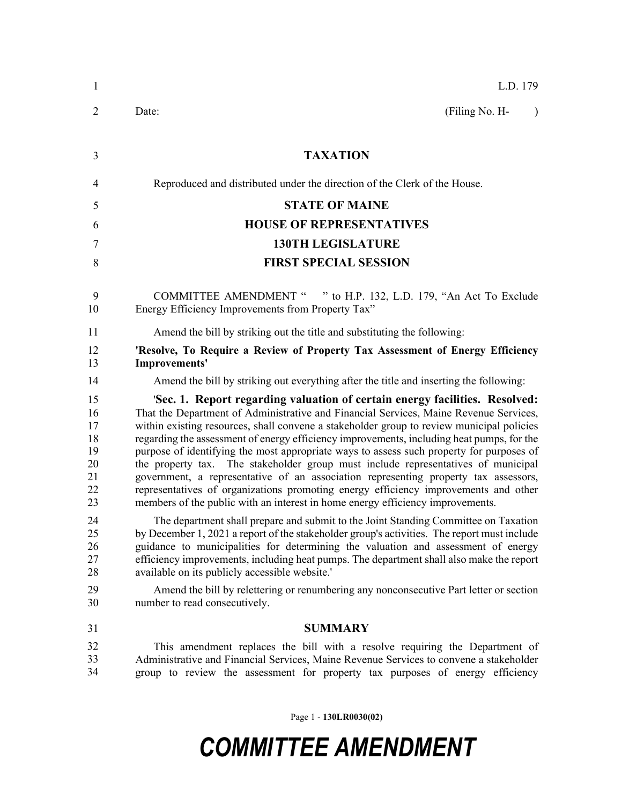| $\mathbf{1}$                                       | L.D. 179                                                                                                                                                                                                                                                                                                                                                                                                                                                                                                                                                                                                                                                                                                                                                                                                        |
|----------------------------------------------------|-----------------------------------------------------------------------------------------------------------------------------------------------------------------------------------------------------------------------------------------------------------------------------------------------------------------------------------------------------------------------------------------------------------------------------------------------------------------------------------------------------------------------------------------------------------------------------------------------------------------------------------------------------------------------------------------------------------------------------------------------------------------------------------------------------------------|
| 2                                                  | (Filing No. H-<br>Date:<br>$\lambda$                                                                                                                                                                                                                                                                                                                                                                                                                                                                                                                                                                                                                                                                                                                                                                            |
| 3                                                  | <b>TAXATION</b>                                                                                                                                                                                                                                                                                                                                                                                                                                                                                                                                                                                                                                                                                                                                                                                                 |
| $\overline{4}$                                     | Reproduced and distributed under the direction of the Clerk of the House.                                                                                                                                                                                                                                                                                                                                                                                                                                                                                                                                                                                                                                                                                                                                       |
| 5                                                  | <b>STATE OF MAINE</b>                                                                                                                                                                                                                                                                                                                                                                                                                                                                                                                                                                                                                                                                                                                                                                                           |
| 6                                                  | <b>HOUSE OF REPRESENTATIVES</b>                                                                                                                                                                                                                                                                                                                                                                                                                                                                                                                                                                                                                                                                                                                                                                                 |
| 7                                                  | <b>130TH LEGISLATURE</b>                                                                                                                                                                                                                                                                                                                                                                                                                                                                                                                                                                                                                                                                                                                                                                                        |
| 8                                                  | <b>FIRST SPECIAL SESSION</b>                                                                                                                                                                                                                                                                                                                                                                                                                                                                                                                                                                                                                                                                                                                                                                                    |
| 9<br>10                                            | COMMITTEE AMENDMENT " " to H.P. 132, L.D. 179, "An Act To Exclude<br>Energy Efficiency Improvements from Property Tax"                                                                                                                                                                                                                                                                                                                                                                                                                                                                                                                                                                                                                                                                                          |
| 11                                                 | Amend the bill by striking out the title and substituting the following:                                                                                                                                                                                                                                                                                                                                                                                                                                                                                                                                                                                                                                                                                                                                        |
| 12<br>13                                           | 'Resolve, To Require a Review of Property Tax Assessment of Energy Efficiency<br>Improvements'                                                                                                                                                                                                                                                                                                                                                                                                                                                                                                                                                                                                                                                                                                                  |
| 14                                                 | Amend the bill by striking out everything after the title and inserting the following:                                                                                                                                                                                                                                                                                                                                                                                                                                                                                                                                                                                                                                                                                                                          |
| 15<br>16<br>17<br>18<br>19<br>20<br>21<br>22<br>23 | 'Sec. 1. Report regarding valuation of certain energy facilities. Resolved:<br>That the Department of Administrative and Financial Services, Maine Revenue Services,<br>within existing resources, shall convene a stakeholder group to review municipal policies<br>regarding the assessment of energy efficiency improvements, including heat pumps, for the<br>purpose of identifying the most appropriate ways to assess such property for purposes of<br>the property tax. The stakeholder group must include representatives of municipal<br>government, a representative of an association representing property tax assessors,<br>representatives of organizations promoting energy efficiency improvements and other<br>members of the public with an interest in home energy efficiency improvements. |
| 24<br>25<br>26<br>27<br>28                         | The department shall prepare and submit to the Joint Standing Committee on Taxation<br>by December 1, 2021 a report of the stakeholder group's activities. The report must include<br>guidance to municipalities for determining the valuation and assessment of energy<br>efficiency improvements, including heat pumps. The department shall also make the report<br>available on its publicly accessible website.'                                                                                                                                                                                                                                                                                                                                                                                           |
| 29<br>30                                           | Amend the bill by relettering or renumbering any nonconsecutive Part letter or section<br>number to read consecutively.                                                                                                                                                                                                                                                                                                                                                                                                                                                                                                                                                                                                                                                                                         |
| 31                                                 | <b>SUMMARY</b>                                                                                                                                                                                                                                                                                                                                                                                                                                                                                                                                                                                                                                                                                                                                                                                                  |
| 32<br>33<br>34                                     | This amendment replaces the bill with a resolve requiring the Department of<br>Administrative and Financial Services, Maine Revenue Services to convene a stakeholder<br>group to review the assessment for property tax purposes of energy efficiency                                                                                                                                                                                                                                                                                                                                                                                                                                                                                                                                                          |

Page 1 - **130LR0030(02)**

## *COMMITTEE AMENDMENT*